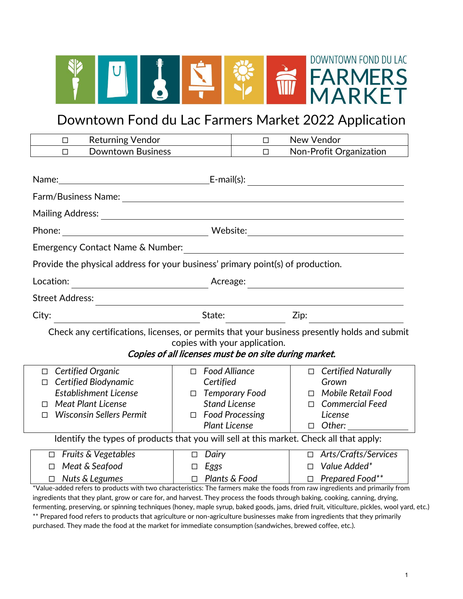

# Downtown Fond du Lac Farmers Market 2022 Application

| <b>Returning Vendor</b><br>$\Box$                                                                                            |                                                                                                                     | $\Box$                 | New Vendor |                                                   |
|------------------------------------------------------------------------------------------------------------------------------|---------------------------------------------------------------------------------------------------------------------|------------------------|------------|---------------------------------------------------|
| <b>Downtown Business</b><br>П                                                                                                |                                                                                                                     | $\Box$                 |            | Non-Profit Organization                           |
|                                                                                                                              |                                                                                                                     |                        |            |                                                   |
| Name:                                                                                                                        |                                                                                                                     |                        |            |                                                   |
|                                                                                                                              |                                                                                                                     |                        |            |                                                   |
|                                                                                                                              |                                                                                                                     |                        |            |                                                   |
| Phone:                                                                                                                       |                                                                                                                     |                        |            |                                                   |
| Emergency Contact Name & Number:                                                                                             |                                                                                                                     |                        |            |                                                   |
| Provide the physical address for your business' primary point(s) of production.                                              |                                                                                                                     |                        |            |                                                   |
| Location:<br><u> 1980 - Johann Barbara, martin a</u>                                                                         | Acreage:                                                                                                            |                        |            | <u> 1980 - Johann Barbara, martxa alemaniar a</u> |
| <b>Street Address:</b>                                                                                                       | <u> 1980 - Jan Samuel Barbara, martin a shekara 1980 - An tsara 1980 - An tsara 1980 - An tsara 1980 - An tsara</u> |                        |            |                                                   |
| City:                                                                                                                        | State:                                                                                                              |                        | Zip:       |                                                   |
| Check any certifications, licenses, or permits that your business presently holds and submit                                 |                                                                                                                     |                        |            |                                                   |
|                                                                                                                              | copies with your application.                                                                                       |                        |            |                                                   |
|                                                                                                                              | Copies of all licenses must be on site during market.                                                               |                        |            |                                                   |
| Certified Organic<br>$\Box$                                                                                                  | <b>Food Alliance</b><br>$\Box$                                                                                      |                        |            | $\Box$ Certified Naturally                        |
| Certified Biodynamic<br>П                                                                                                    | Certified                                                                                                           |                        |            | Grown                                             |
| <b>Establishment License</b>                                                                                                 | $\Box$                                                                                                              | <b>Temporary Food</b>  | $\Box$     | Mobile Retail Food                                |
| <b>Meat Plant License</b><br>П                                                                                               | <b>Stand License</b>                                                                                                |                        |            | $\Box$ Commercial Feed                            |
| <b>Wisconsin Sellers Permit</b><br>П                                                                                         | $\Box$                                                                                                              | <b>Food Processing</b> |            | License                                           |
|                                                                                                                              | <b>Plant License</b>                                                                                                |                        |            | $\Box$ Other:                                     |
| Identify the types of products that you will sell at this market. Check all that apply:                                      |                                                                                                                     |                        |            |                                                   |
| <b>Fruits &amp; Vegetables</b><br>$\Box$                                                                                     | $\Box$ Dairy                                                                                                        |                        |            | □ Arts/Crafts/Services                            |
| Meat & Seafood<br>$\Box$                                                                                                     | Eggs<br>$\Box$                                                                                                      |                        | $\Box$     | Value Added*                                      |
| Nuts & Legumes<br>□                                                                                                          |                                                                                                                     | $\Box$ Plants & Food   |            | $\Box$ Prepared Food**                            |
| *Value-added refers to products with two characteristics: The farmers make the foods from raw ingredients and primarily from |                                                                                                                     |                        |            |                                                   |
| ingredients that they plant, grow or care for, and harvest. They process the foods through baking, cooking, canning, drying, |                                                                                                                     |                        |            |                                                   |

fermenting, preserving, or spinning techniques (honey, maple syrup, baked goods, jams, dried fruit, viticulture, pickles, wool yard, etc.) \*\* Prepared food refers to products that agriculture or non-agriculture businesses make from ingredients that they primarily purchased. They made the food at the market for immediate consumption (sandwiches, brewed coffee, etc.).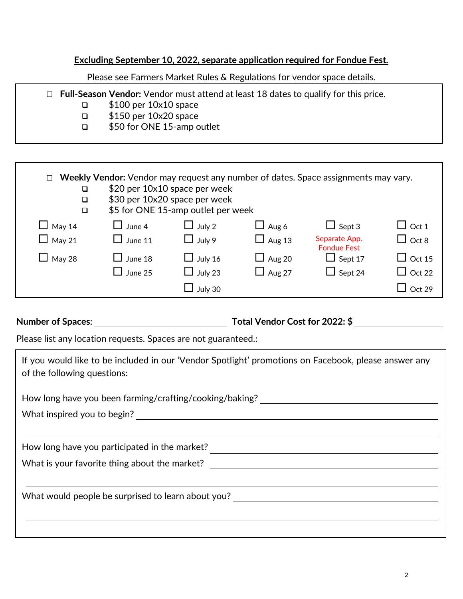### **Excluding September 10, 2022, separate application required for Fondue Fest.**

Please see Farmers Market Rules & Regulations for vendor space details.

| $\Box$ Full-Season Vendor: Vendor must attend at least 18 dates to qualify for this price. |
|--------------------------------------------------------------------------------------------|
| $$100$ per $10\times10$ space                                                              |
| $$150$ per $10\times20$ space                                                              |
| \$50 for ONE 15-amp outlet                                                                 |

| ❏<br>❏<br>$\Box$ |                | \$20 per 10x10 space per week<br>\$30 per 10x20 space per week<br>\$5 for ONE 15-amp outlet per week |               | $\Box$ Weekly Vendor: Vendor may request any number of dates. Space assignments may vary. |               |
|------------------|----------------|------------------------------------------------------------------------------------------------------|---------------|-------------------------------------------------------------------------------------------|---------------|
| $\Box$ May 14    | $\Box$ June 4  | $\Box$ July 2                                                                                        | $\Box$ Aug 6  | $\Box$ Sept 3                                                                             | $\Box$ Oct 1  |
| $\Box$ May 21    | $\Box$ June 11 | $\Box$ July 9                                                                                        | $\Box$ Aug 13 | Separate App.<br><b>Fondue Fest</b>                                                       | $\Box$ Oct 8  |
| $\Box$ May 28    | $\Box$ June 18 | $\Box$ July 16                                                                                       | $\Box$ Aug 20 | $\Box$ Sept 17                                                                            | $\Box$ Oct 15 |
|                  | $\Box$ June 25 | $\Box$ July 23                                                                                       | $\Box$ Aug 27 | $\Box$ Sept 24                                                                            | $\Box$ Oct 22 |
|                  |                | July 30                                                                                              |               |                                                                                           | Ort 29        |

**Number of Spaces**: **Total Vendor Cost for 2022: \$**

Please list any location requests. Spaces are not guaranteed.:

| If you would like to be included in our 'Vendor Spotlight' promotions on Facebook, please answer any<br>of the following questions: |
|-------------------------------------------------------------------------------------------------------------------------------------|
| How long have you been farming/crafting/cooking/baking? ________________________                                                    |
|                                                                                                                                     |
| How long have you participated in the market?<br>What is your favorite thing about the market?                                      |
| What would people be surprised to learn about you?                                                                                  |
|                                                                                                                                     |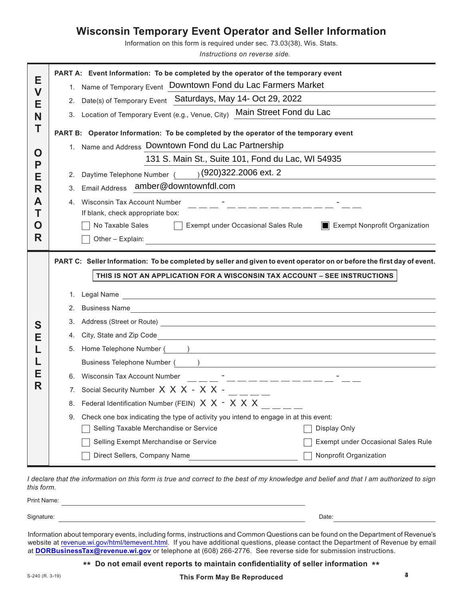## **Wisconsin Temporary Event Operator and Seller Information**

Information on this form is required under sec. 73.03(38), Wis. Stats.

*Instructions on reverse side.*

| Е                                                                                            | PART A: Event Information: To be completed by the operator of the temporary event                                                            |  |  |  |
|----------------------------------------------------------------------------------------------|----------------------------------------------------------------------------------------------------------------------------------------------|--|--|--|
| $\mathbf V$                                                                                  | 1. Name of Temporary Event Downtown Fond du Lac Farmers Market                                                                               |  |  |  |
| Е                                                                                            | Date(s) of Temporary Event Saturdays, May 14- Oct 29, 2022<br>2.                                                                             |  |  |  |
| N                                                                                            | 3. Location of Temporary Event (e.g., Venue, City) Main Street Fond du Lac                                                                   |  |  |  |
| Τ                                                                                            | PART B: Operator Information: To be completed by the operator of the temporary event<br>1. Name and Address Downtown Fond du Lac Partnership |  |  |  |
| O                                                                                            |                                                                                                                                              |  |  |  |
| P                                                                                            | 131 S. Main St., Suite 101, Fond du Lac, WI 54935                                                                                            |  |  |  |
| Е                                                                                            | $(920)322.2006$ ext. 2<br>2. Daytime Telephone Number (                                                                                      |  |  |  |
| R                                                                                            | amber@downtownfdl.com<br><b>Email Address</b><br>3.                                                                                          |  |  |  |
| A                                                                                            | <b>Wisconsin Tax Account Number</b><br>4.<br><u> 2002 - Alexandr Alexandr Mari</u>                                                           |  |  |  |
|                                                                                              | Τ<br>If blank, check appropriate box:                                                                                                        |  |  |  |
| No Taxable Sales<br>Exempt under Occasional Sales Rule<br>Exempt Nonprofit Organization<br>Õ |                                                                                                                                              |  |  |  |
| R                                                                                            | Other - Explain:                                                                                                                             |  |  |  |
|                                                                                              | PART C: Seller Information: To be completed by seller and given to event operator on or before the first day of event.                       |  |  |  |
|                                                                                              |                                                                                                                                              |  |  |  |
|                                                                                              | THIS IS NOT AN APPLICATION FOR A WISCONSIN TAX ACCOUNT - SEE INSTRUCTIONS                                                                    |  |  |  |
|                                                                                              |                                                                                                                                              |  |  |  |
|                                                                                              |                                                                                                                                              |  |  |  |
|                                                                                              | 2. Business Name                                                                                                                             |  |  |  |
| S                                                                                            | 3.                                                                                                                                           |  |  |  |
| Е                                                                                            | City, State and Zip Code <u>Container and City Code</u><br>4.                                                                                |  |  |  |
|                                                                                              | Home Telephone Number (August 2020)<br>5.                                                                                                    |  |  |  |
|                                                                                              | Business Telephone Number ( )                                                                                                                |  |  |  |
| Е                                                                                            | 6. Wisconsin Tax Account Number<br><u> 1117 - Indonesia Indonesia</u>                                                                        |  |  |  |
| R                                                                                            | Social Security Number $X \times X - X \times -$ _____<br>7.                                                                                 |  |  |  |
|                                                                                              | 8. Federal Identification Number (FEIN) $X$ $X$ - $X$ $X$ $X$                                                                                |  |  |  |
|                                                                                              | Check one box indicating the type of activity you intend to engage in at this event:<br>9.                                                   |  |  |  |
|                                                                                              | Selling Taxable Merchandise or Service<br>Display Only                                                                                       |  |  |  |
|                                                                                              | Selling Exempt Merchandise or Service<br>Exempt under Occasional Sales Rule                                                                  |  |  |  |

*I declare that the information on this form is true and correct to the best of my knowledge and belief and that I am authorized to sign this form.*

| Print Nam                   |       |  |
|-----------------------------|-------|--|
|                             |       |  |
| Signatur<br>.و.ب<br>iuturo. | Date: |  |

Information about temporary events, including forms, instructions and Common Questions can be found on the Department of Revenue's website at [revenue.wi.gov/html/temevent.html.](http://www.revenue.wi.gov/html/temevent.html) If you have additional questions, please contact the Department of Revenue by email at **<DORBusinessTax@revenue.wi.gov>** or telephone at (608) 266-2776. See reverse side for submission instructions.

**\*\* Do not email event reports to maintain confidentiality of seller information \*\***